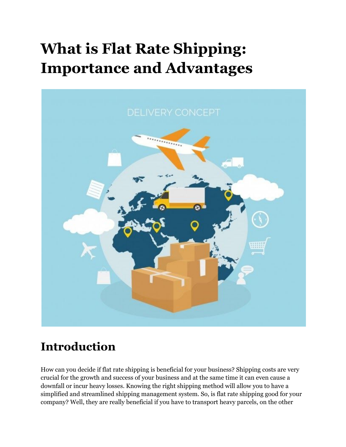# **What is Flat Rate Shipping: Importance and Advantages**



### **Introduction**

How can you decide if flat rate shipping is beneficial for your business? Shipping costs are very crucial for the growth and success of your business and at the same time it can even cause a downfall or incur heavy losses. Knowing the right shipping method will allow you to have a simplified and streamlined shipping management system. So, is flat rate shipping good for your company? Well, they are really beneficial if you have to transport heavy parcels, on the other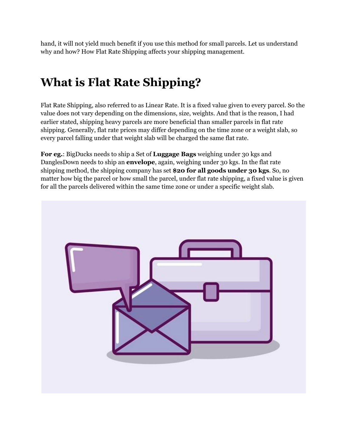hand, it will not yield much benefit if you use this method for small parcels. Let us understand why and how? How Flat Rate Shipping affects your shipping management.

# **What is Flat Rate Shipping?**

Flat Rate Shipping, also referred to as Linear Rate. It is a fixed value given to every parcel. So the value does not vary depending on the dimensions, size, weights. And that is the reason, I had earlier stated, shipping heavy parcels are more beneficial than smaller parcels in flat rate shipping. Generally, flat rate prices may differ depending on the time zone or a weight slab, so every parcel falling under that weight slab will be charged the same flat rate.

**For eg.**: BigDucks needs to ship a Set of **Luggage Bags** weighing under 30 kgs and DanglesDown needs to ship an **envelope**, again, weighing under 30 kgs. In the flat rate shipping method, the shipping company has set **\$20 for all goods under 30 kgs**. So, no matter how big the parcel or how small the parcel, under flat rate shipping, a fixed value is given for all the parcels delivered within the same time zone or under a specific weight slab.

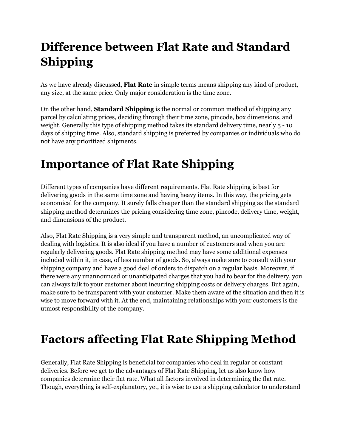# **Difference between Flat Rate and Standard Shipping**

As we have already discussed, **Flat Rate** in simple terms means shipping any kind of product, any size, at the same price. Only major consideration is the time zone.

On the other hand, **Standard Shipping** is the normal or common method of shipping any parcel by calculating prices, deciding through their time zone, pincode, box dimensions, and weight. Generally this type of shipping method takes its standard delivery time, nearly 5 - 10 days of shipping time. Also, standard shipping is preferred by companies or individuals who do not have any prioritized shipments.

# **Importance of Flat Rate Shipping**

Different types of companies have different requirements. Flat Rate shipping is best for delivering goods in the same time zone and having heavy items. In this way, the pricing gets economical for the company. It surely falls cheaper than the standard shipping as the standard shipping method determines the pricing considering time zone, pincode, delivery time, weight, and dimensions of the product.

Also, Flat Rate Shipping is a very simple and transparent method, an uncomplicated way of dealing with logistics. It is also ideal if you have a number of customers and when you are regularly delivering goods. Flat Rate shipping method may have some additional expenses included within it, in case, of less number of goods. So, always make sure to consult with your shipping company and have a good deal of orders to dispatch on a regular basis. Moreover, if there were any unannounced or unanticipated charges that you had to bear for the delivery, you can always talk to your customer about incurring shipping costs or delivery charges. But again, make sure to be transparent with your customer. Make them aware of the situation and then it is wise to move forward with it. At the end, maintaining relationships with your customers is the utmost responsibility of the company.

## **Factors affecting Flat Rate Shipping Method**

Generally, Flat Rate Shipping is beneficial for companies who deal in regular or constant deliveries. Before we get to the advantages of Flat Rate Shipping, let us also know how companies determine their flat rate. What all factors involved in determining the flat rate. Though, everything is self-explanatory, yet, it is wise to use a shipping calculator to understand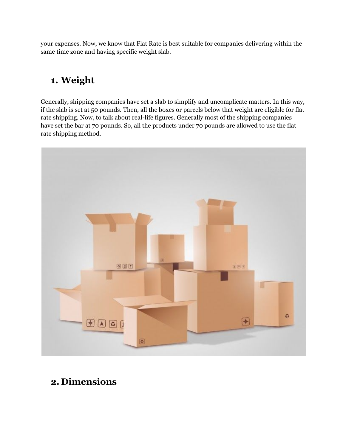your expenses. Now, we know that Flat Rate is best suitable for companies delivering within the same time zone and having specific weight slab.

#### **1. Weight**

Generally, shipping companies have set a slab to simplify and uncomplicate matters. In this way, if the slab is set at 50 pounds. Then, all the boxes or parcels below that weight are eligible for flat rate shipping. Now, to talk about real-life figures. Generally most of the shipping companies have set the bar at 70 pounds. So, all the products under 70 pounds are allowed to use the flat rate shipping method.



#### **2. Dimensions**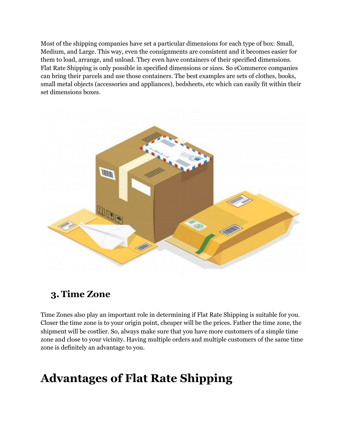Most of the shipping companies have set a particular dimensions for each type of box: Small, Medium, and Large. This way, even the consignments are consistent and it becomes easier for them to load, arrange, and unload. They even have containers of their specified dimensions. Flat Rate Shipping is only possible in specified dimensions or sizes. So eCommerce companies can bring their parcels and use those containers. The best examples are sets of clothes, books, small metal objects (accessories and appliances), bedsheets, etc which can easily fit within their set dimensions boxes.



#### **3. Time Zone**

Time Zones also play an important role in determining if Flat Rate Shipping is suitable for you. Closer the time zone is to your origin point, cheaper will be the prices. Father the time zone, the shipment will be costlier. So, always make sure that you have more customers of a simple time zone and close to your vicinity. Having multiple orders and multiple customers of the same time zone is definitely an advantage to you.

## **Advantages of Flat Rate Shipping**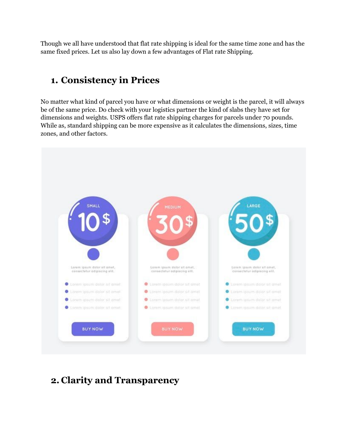Though we all have understood that flat rate shipping is ideal for the same time zone and has the same fixed prices. Let us also lay down a few advantages of Flat rate Shipping.

#### **1. Consistency in Prices**

No matter what kind of parcel you have or what dimensions or weight is the parcel, it will always be of the same price. Do check with your logistics partner the kind of slabs they have set for dimensions and weights. USPS offers flat rate shipping charges for parcels under 70 pounds. While as, standard shipping can be more expensive as it calculates the dimensions, sizes, time zones, and other factors.



#### **2. Clarity and Transparency**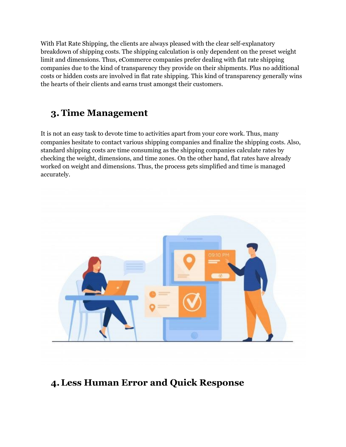With Flat Rate Shipping, the clients are always pleased with the clear self-explanatory breakdown of shipping costs. The shipping calculation is only dependent on the preset weight limit and dimensions. Thus, eCommerce companies prefer dealing with flat rate shipping companies due to the kind of transparency they provide on their shipments. Plus no additional costs or hidden costs are involved in flat rate shipping. This kind of transparency generally wins the hearts of their clients and earns trust amongst their customers.

#### **3. Time Management**

It is not an easy task to devote time to activities apart from your core work. Thus, many companies hesitate to contact various shipping companies and finalize the shipping costs. Also, standard shipping costs are time consuming as the shipping companies calculate rates by checking the weight, dimensions, and time zones. On the other hand, flat rates have already worked on weight and dimensions. Thus, the process gets simplified and time is managed accurately.



#### **4.Less Human Error and Quick Response**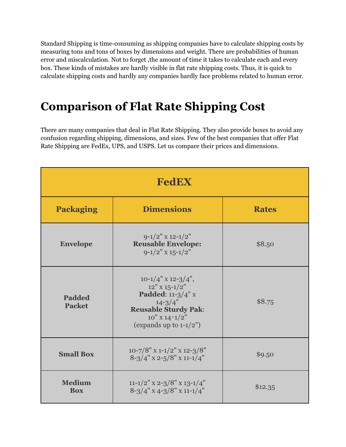Standard Shipping is time-consuming as shipping companies have to calculate shipping costs by measuring tons and tons of boxes by dimensions and weight. There are probabilities of human error and miscalculation. Not to forget ,the amount of time it takes to calculate each and every box. These kinds of mistakes are hardly visible in flat rate shipping costs. Thus, it is quick to calculate shipping costs and hardly any companies hardly face problems related to human error.

### **Comparison of Flat Rate Shipping Cost**

There are many companies that deal in Flat Rate Shipping. They also provide boxes to avoid any confusion regarding shipping, dimensions, and sizes. Few of the best companies that offer Flat Rate Shipping are FedEx, UPS, and USPS. Let us compare their prices and dimensions.

| <b>FedEX</b>                   |                                                                                                                                                                        |              |
|--------------------------------|------------------------------------------------------------------------------------------------------------------------------------------------------------------------|--------------|
| <b>Packaging</b>               | <b>Dimensions</b>                                                                                                                                                      | <b>Rates</b> |
| <b>Envelope</b>                | $9-1/2$ " x 12-1/2"<br><b>Reusable Envelope:</b><br>$9-1/2$ " x $15-1/2$ "                                                                                             | \$8.50       |
| <b>Padded</b><br><b>Packet</b> | $10-1/4$ " x 12-3/4",<br>$12"$ X $15$ - $1/2"$<br>Padded: 11-3/4" x<br>$14 - 3/4"$<br><b>Reusable Sturdy Pak:</b><br>$10''$ X $14 - 1/2''$<br>(expands up to $1-1/2$ ) | \$8.75       |
| <b>Small Box</b>               | $10 - 7/8$ " x 1-1/2" x 12-3/8"<br>$8 - 3/4$ " x 2-5/8" x 11-1/4"                                                                                                      | \$9.50       |
| <b>Medium</b><br><b>Box</b>    | 11-1/2" x 2-3/8" x 13-1/4"<br>$8 - 3/4$ " x 4-3/8" x 11-1/4"                                                                                                           | \$12.35      |